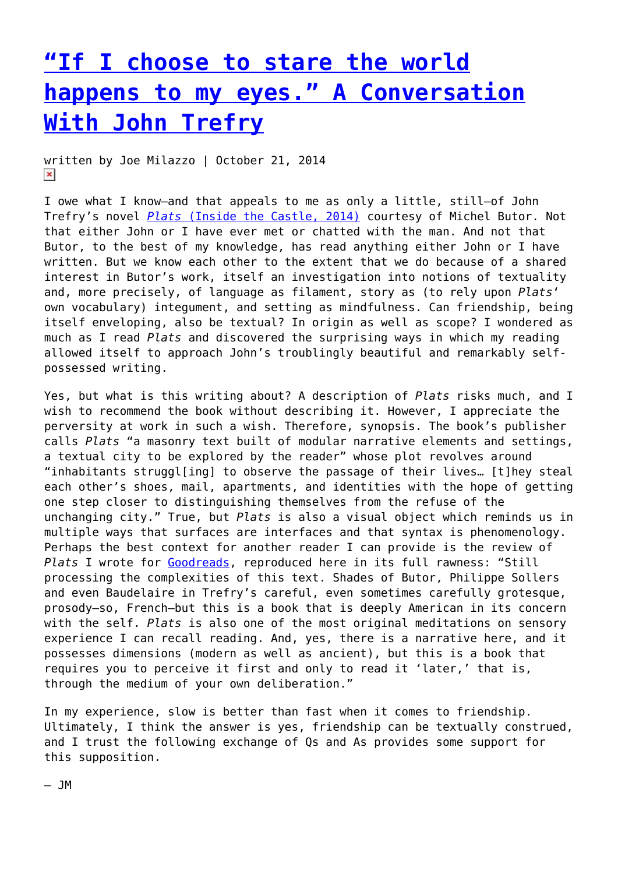# **["If I choose to stare the world](https://entropymag.org/if-i-choose-to-stare-the-world-happens-to-my-eyes-a-conversation-with-john-trefry/) [happens to my eyes." A Conversation](https://entropymag.org/if-i-choose-to-stare-the-world-happens-to-my-eyes-a-conversation-with-john-trefry/) [With John Trefry](https://entropymag.org/if-i-choose-to-stare-the-world-happens-to-my-eyes-a-conversation-with-john-trefry/)**

written by Joe Milazzo | October 21, 2014  $\pmb{\times}$ 

I owe what I know—and that appeals to me as only a little, still—of John Trefry's novel *[Plats](http://www.jhtrefry.org/?page_id=2383)* [\(Inside the Castle, 2014\)](http://www.jhtrefry.org/?page_id=2383) courtesy of Michel Butor. Not that either John or I have ever met or chatted with the man. And not that Butor, to the best of my knowledge, has read anything either John or I have written. But we know each other to the extent that we do because of a shared interest in Butor's work, itself an investigation into notions of textuality and, more precisely, of language as filament, story as (to rely upon *Plats*' own vocabulary) integument, and setting as mindfulness. Can friendship, being itself enveloping, also be textual? In origin as well as scope? I wondered as much as I read *Plats* and discovered the surprising ways in which my reading allowed itself to approach John's troublingly beautiful and remarkably selfpossessed writing.

Yes, but what is this writing about? A description of *Plats* risks much, and I wish to recommend the book without describing it. However, I appreciate the perversity at work in such a wish. Therefore, synopsis. The book's publisher calls *Plats* "a masonry text built of modular narrative elements and settings, a textual city to be explored by the reader" whose plot revolves around "inhabitants struggl[ing] to observe the passage of their lives… [t]hey steal each other's shoes, mail, apartments, and identities with the hope of getting one step closer to distinguishing themselves from the refuse of the unchanging city." True, but *Plats* is also a visual object which reminds us in multiple ways that surfaces are interfaces and that syntax is phenomenology. Perhaps the best context for another reader I can provide is the review of *Plats* I wrote for [Goodreads](https://www.goodreads.com/author/show/6473668.Joe_Milazzo), reproduced here in its full rawness: "Still processing the complexities of this text. Shades of Butor, Philippe Sollers and even Baudelaire in Trefry's careful, even sometimes carefully grotesque, prosody—so, French—but this is a book that is deeply American in its concern with the self. *Plats* is also one of the most original meditations on sensory experience I can recall reading. And, yes, there is a narrative here, and it possesses dimensions (modern as well as ancient), but this is a book that requires you to perceive it first and only to read it 'later,' that is, through the medium of your own deliberation."

In my experience, slow is better than fast when it comes to friendship. Ultimately, I think the answer is yes, friendship can be textually construed, and I trust the following exchange of Qs and As provides some support for this supposition.

 $-$  JM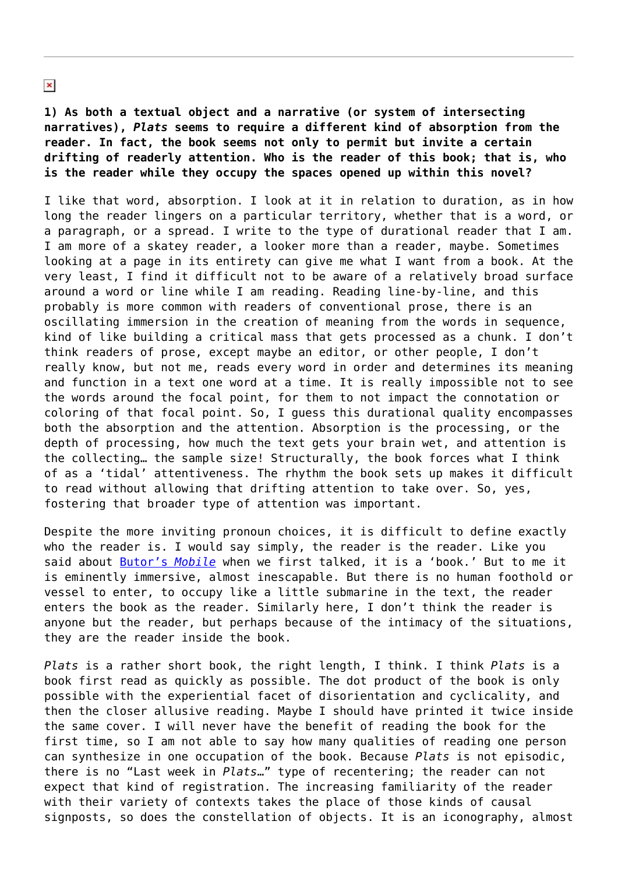**1) As both a textual object and a narrative (or system of intersecting narratives),** *Plats* **seems to require a different kind of absorption from the reader. In fact, the book seems not only to permit but invite a certain drifting of readerly attention. Who is the reader of this book; that is, who is the reader while they occupy the spaces opened up within this novel?**

I like that word, absorption. I look at it in relation to duration, as in how long the reader lingers on a particular territory, whether that is a word, or a paragraph, or a spread. I write to the type of durational reader that I am. I am more of a skatey reader, a looker more than a reader, maybe. Sometimes looking at a page in its entirety can give me what I want from a book. At the very least, I find it difficult not to be aware of a relatively broad surface around a word or line while I am reading. Reading line-by-line, and this probably is more common with readers of conventional prose, there is an oscillating immersion in the creation of meaning from the words in sequence, kind of like building a critical mass that gets processed as a chunk. I don't think readers of prose, except maybe an editor, or other people, I don't really know, but not me, reads every word in order and determines its meaning and function in a text one word at a time. It is really impossible not to see the words around the focal point, for them to not impact the connotation or coloring of that focal point. So, I guess this durational quality encompasses both the absorption and the attention. Absorption is the processing, or the depth of processing, how much the text gets your brain wet, and attention is the collecting… the sample size! Structurally, the book forces what I think of as a 'tidal' attentiveness. The rhythm the book sets up makes it difficult to read without allowing that drifting attention to take over. So, yes, fostering that broader type of attention was important.

Despite the more inviting pronoun choices, it is difficult to define exactly who the reader is. I would say simply, the reader is the reader. Like you said about [Butor's](http://www.dalkeyarchive.com/product/mobile/) *[Mobile](http://www.dalkeyarchive.com/product/mobile/)* when we first talked, it is a 'book.' But to me it is eminently immersive, almost inescapable. But there is no human foothold or vessel to enter, to occupy like a little submarine in the text, the reader enters the book as the reader. Similarly here, I don't think the reader is anyone but the reader, but perhaps because of the intimacy of the situations, they are the reader inside the book.

*Plats* is a rather short book, the right length, I think. I think *Plats* is a book first read as quickly as possible. The dot product of the book is only possible with the experiential facet of disorientation and cyclicality, and then the closer allusive reading. Maybe I should have printed it twice inside the same cover. I will never have the benefit of reading the book for the first time, so I am not able to say how many qualities of reading one person can synthesize in one occupation of the book. Because *Plats* is not episodic, there is no "Last week in *Plats*…" type of recentering; the reader can not expect that kind of registration. The increasing familiarity of the reader with their variety of contexts takes the place of those kinds of causal signposts, so does the constellation of objects. It is an iconography, almost

 $\pmb{\times}$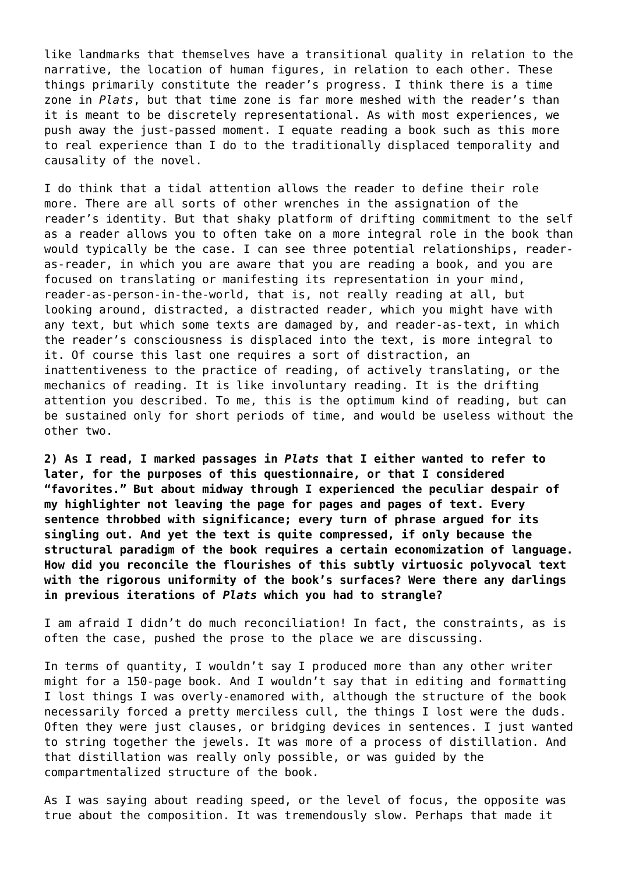like landmarks that themselves have a transitional quality in relation to the narrative, the location of human figures, in relation to each other. These things primarily constitute the reader's progress. I think there is a time zone in *Plats*, but that time zone is far more meshed with the reader's than it is meant to be discretely representational. As with most experiences, we push away the just-passed moment. I equate reading a book such as this more to real experience than I do to the traditionally displaced temporality and causality of the novel.

I do think that a tidal attention allows the reader to define their role more. There are all sorts of other wrenches in the assignation of the reader's identity. But that shaky platform of drifting commitment to the self as a reader allows you to often take on a more integral role in the book than would typically be the case. I can see three potential relationships, readeras-reader, in which you are aware that you are reading a book, and you are focused on translating or manifesting its representation in your mind, reader-as-person-in-the-world, that is, not really reading at all, but looking around, distracted, a distracted reader, which you might have with any text, but which some texts are damaged by, and reader-as-text, in which the reader's consciousness is displaced into the text, is more integral to it. Of course this last one requires a sort of distraction, an inattentiveness to the practice of reading, of actively translating, or the mechanics of reading. It is like involuntary reading. It is the drifting attention you described. To me, this is the optimum kind of reading, but can be sustained only for short periods of time, and would be useless without the other two.

**2) As I read, I marked passages in** *Plats* **that I either wanted to refer to later, for the purposes of this questionnaire, or that I considered "favorites." But about midway through I experienced the peculiar despair of my highlighter not leaving the page for pages and pages of text. Every sentence throbbed with significance; every turn of phrase argued for its singling out. And yet the text is quite compressed, if only because the structural paradigm of the book requires a certain economization of language. How did you reconcile the flourishes of this subtly virtuosic polyvocal text with the rigorous uniformity of the book's surfaces? Were there any darlings in previous iterations of** *Plats* **which you had to strangle?**

I am afraid I didn't do much reconciliation! In fact, the constraints, as is often the case, pushed the prose to the place we are discussing.

In terms of quantity, I wouldn't say I produced more than any other writer might for a 150-page book. And I wouldn't say that in editing and formatting I lost things I was overly-enamored with, although the structure of the book necessarily forced a pretty merciless cull, the things I lost were the duds. Often they were just clauses, or bridging devices in sentences. I just wanted to string together the jewels. It was more of a process of distillation. And that distillation was really only possible, or was guided by the compartmentalized structure of the book.

As I was saying about reading speed, or the level of focus, the opposite was true about the composition. It was tremendously slow. Perhaps that made it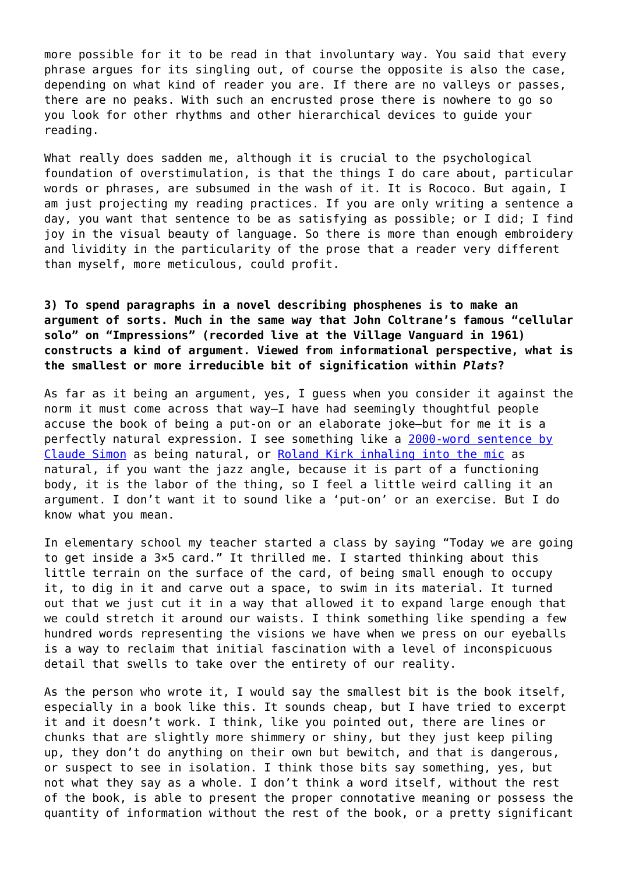more possible for it to be read in that involuntary way. You said that every phrase argues for its singling out, of course the opposite is also the case, depending on what kind of reader you are. If there are no valleys or passes, there are no peaks. With such an encrusted prose there is nowhere to go so you look for other rhythms and other hierarchical devices to guide your reading.

What really does sadden me, although it is crucial to the psychological foundation of overstimulation, is that the things I do care about, particular words or phrases, are subsumed in the wash of it. It is Rococo. But again, I am just projecting my reading practices. If you are only writing a sentence a day, you want that sentence to be as satisfying as possible; or I did; I find joy in the visual beauty of language. So there is more than enough embroidery and lividity in the particularity of the prose that a reader very different than myself, more meticulous, could profit.

**3) To spend paragraphs in a novel describing phosphenes is to make an argument of sorts. Much in the same way that John Coltrane's famous "cellular solo" on "Impressions" (recorded live at the Village Vanguard in 1961) constructs a kind of argument. Viewed from informational perspective, what is the smallest or more irreducible bit of signification within** *Plats***?**

As far as it being an argument, yes, I guess when you consider it against the norm it must come across that way—I have had seemingly thoughtful people accuse the book of being a put-on or an elaborate joke—but for me it is a perfectly natural expression. I see something like a [2000-word sentence by](http://www.theparisreview.org/interviews/2096/the-art-of-fiction-no-128-claude-simon) [Claude Simon](http://www.theparisreview.org/interviews/2096/the-art-of-fiction-no-128-claude-simon) as being natural, or [Roland Kirk inhaling into the mic](http://www.youtube.com/watch?v=-6ryVryFnEY) as natural, if you want the jazz angle, because it is part of a functioning body, it is the labor of the thing, so I feel a little weird calling it an argument. I don't want it to sound like a 'put-on' or an exercise. But I do know what you mean.

In elementary school my teacher started a class by saying "Today we are going to get inside a 3×5 card." It thrilled me. I started thinking about this little terrain on the surface of the card, of being small enough to occupy it, to dig in it and carve out a space, to swim in its material. It turned out that we just cut it in a way that allowed it to expand large enough that we could stretch it around our waists. I think something like spending a few hundred words representing the visions we have when we press on our eyeballs is a way to reclaim that initial fascination with a level of inconspicuous detail that swells to take over the entirety of our reality.

As the person who wrote it, I would say the smallest bit is the book itself, especially in a book like this. It sounds cheap, but I have tried to excerpt it and it doesn't work. I think, like you pointed out, there are lines or chunks that are slightly more shimmery or shiny, but they just keep piling up, they don't do anything on their own but bewitch, and that is dangerous, or suspect to see in isolation. I think those bits say something, yes, but not what they say as a whole. I don't think a word itself, without the rest of the book, is able to present the proper connotative meaning or possess the quantity of information without the rest of the book, or a pretty significant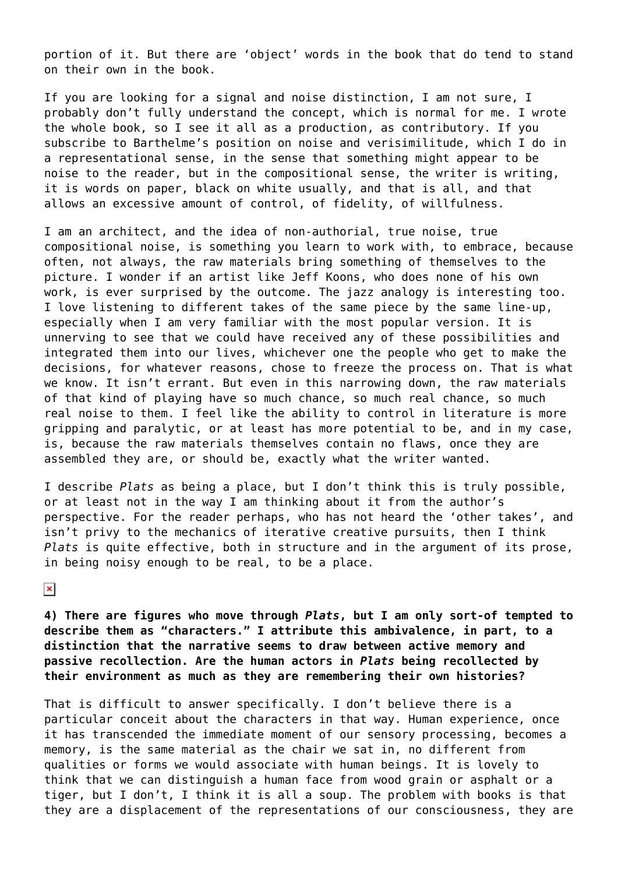portion of it. But there are 'object' words in the book that do tend to stand on their own in the book.

If you are looking for a signal and noise distinction, I am not sure, I probably don't fully understand the concept, which is normal for me. I wrote the whole book, so I see it all as a production, as contributory. If you subscribe to Barthelme's position on noise and verisimilitude, which I do in a representational sense, in the sense that something might appear to be noise to the reader, but in the compositional sense, the writer is writing, it is words on paper, black on white usually, and that is all, and that allows an excessive amount of control, of fidelity, of willfulness.

I am an architect, and the idea of non-authorial, true noise, true compositional noise, is something you learn to work with, to embrace, because often, not always, the raw materials bring something of themselves to the picture. I wonder if an artist like Jeff Koons, who does none of his own work, is ever surprised by the outcome. The jazz analogy is interesting too. I love listening to different takes of the same piece by the same line-up, especially when I am very familiar with the most popular version. It is unnerving to see that we could have received any of these possibilities and integrated them into our lives, whichever one the people who get to make the decisions, for whatever reasons, chose to freeze the process on. That is what we know. It isn't errant. But even in this narrowing down, the raw materials of that kind of playing have so much chance, so much real chance, so much real noise to them. I feel like the ability to control in literature is more gripping and paralytic, or at least has more potential to be, and in my case, is, because the raw materials themselves contain no flaws, once they are assembled they are, or should be, exactly what the writer wanted.

I describe *Plats* as being a place, but I don't think this is truly possible, or at least not in the way I am thinking about it from the author's perspective. For the reader perhaps, who has not heard the 'other takes', and isn't privy to the mechanics of iterative creative pursuits, then I think *Plats* is quite effective, both in structure and in the argument of its prose, in being noisy enough to be real, to be a place.

 $\pmb{\times}$ 

**4) There are figures who move through** *Plats***, but I am only sort-of tempted to describe them as "characters." I attribute this ambivalence, in part, to a distinction that the narrative seems to draw between active memory and passive recollection. Are the human actors in** *Plats* **being recollected by their environment as much as they are remembering their own histories?**

That is difficult to answer specifically. I don't believe there is a particular conceit about the characters in that way. Human experience, once it has transcended the immediate moment of our sensory processing, becomes a memory, is the same material as the chair we sat in, no different from qualities or forms we would associate with human beings. It is lovely to think that we can distinguish a human face from wood grain or asphalt or a tiger, but I don't, I think it is all a soup. The problem with books is that they are a displacement of the representations of our consciousness, they are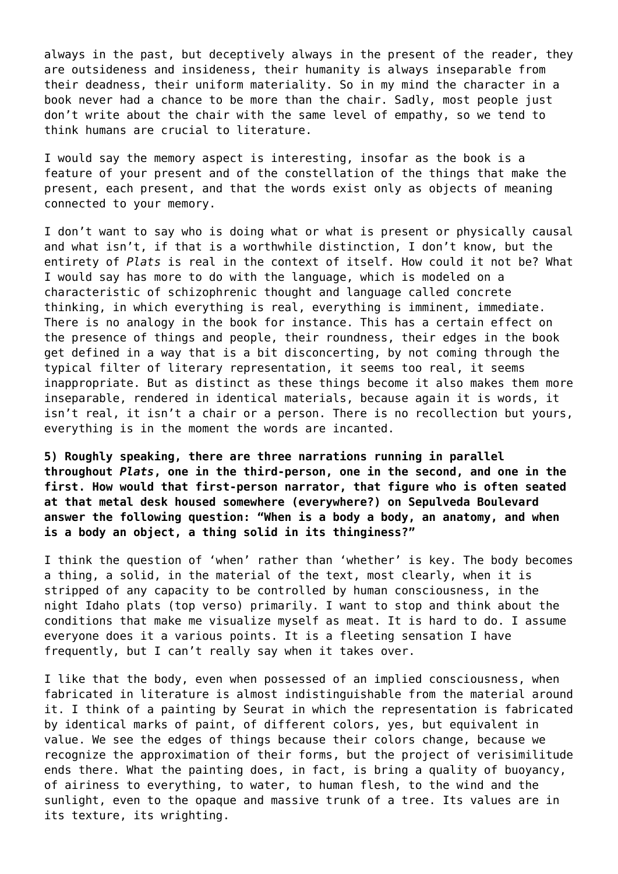always in the past, but deceptively always in the present of the reader, they are outsideness and insideness, their humanity is always inseparable from their deadness, their uniform materiality. So in my mind the character in a book never had a chance to be more than the chair. Sadly, most people just don't write about the chair with the same level of empathy, so we tend to think humans are crucial to literature.

I would say the memory aspect is interesting, insofar as the book is a feature of your present and of the constellation of the things that make the present, each present, and that the words exist only as objects of meaning connected to your memory.

I don't want to say who is doing what or what is present or physically causal and what isn't, if that is a worthwhile distinction, I don't know, but the entirety of *Plats* is real in the context of itself. How could it not be? What I would say has more to do with the language, which is modeled on a characteristic of schizophrenic thought and language called concrete thinking, in which everything is real, everything is imminent, immediate. There is no analogy in the book for instance. This has a certain effect on the presence of things and people, their roundness, their edges in the book get defined in a way that is a bit disconcerting, by not coming through the typical filter of literary representation, it seems too real, it seems inappropriate. But as distinct as these things become it also makes them more inseparable, rendered in identical materials, because again it is words, it isn't real, it isn't a chair or a person. There is no recollection but yours, everything is in the moment the words are incanted.

**5) Roughly speaking, there are three narrations running in parallel throughout** *Plats***, one in the third-person, one in the second, and one in the first. How would that first-person narrator, that figure who is often seated at that metal desk housed somewhere (everywhere?) on Sepulveda Boulevard answer the following question: "When is a body a body, an anatomy, and when is a body an object, a thing solid in its thinginess?"**

I think the question of 'when' rather than 'whether' is key. The body becomes a thing, a solid, in the material of the text, most clearly, when it is stripped of any capacity to be controlled by human consciousness, in the night Idaho plats (top verso) primarily. I want to stop and think about the conditions that make me visualize myself as meat. It is hard to do. I assume everyone does it a various points. It is a fleeting sensation I have frequently, but I can't really say when it takes over.

I like that the body, even when possessed of an implied consciousness, when fabricated in literature is almost indistinguishable from the material around it. I think of a painting by Seurat in which the representation is fabricated by identical marks of paint, of different colors, yes, but equivalent in value. We see the edges of things because their colors change, because we recognize the approximation of their forms, but the project of verisimilitude ends there. What the painting does, in fact, is bring a quality of buoyancy, of airiness to everything, to water, to human flesh, to the wind and the sunlight, even to the opaque and massive trunk of a tree. Its values are in its texture, its wrighting.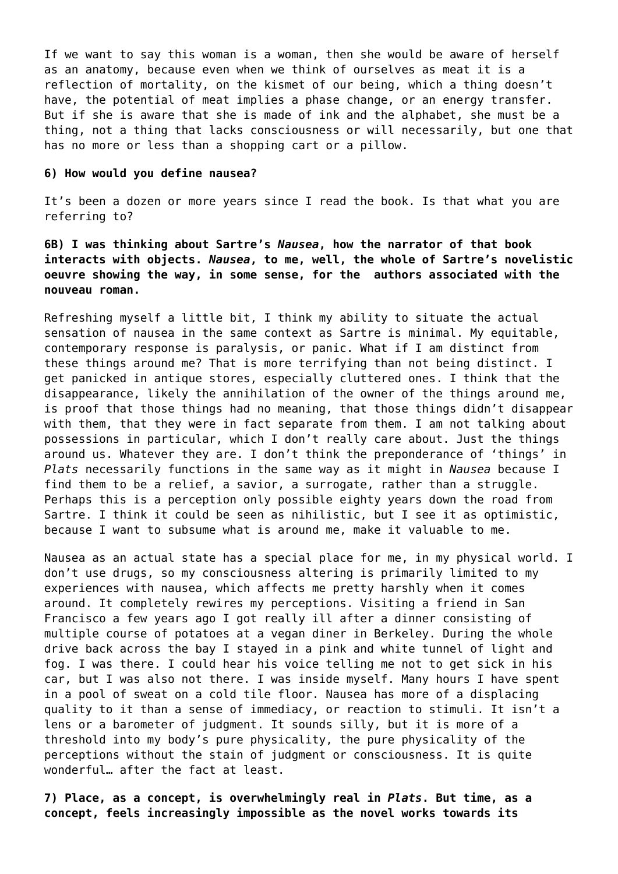If we want to say this woman is a woman, then she would be aware of herself as an anatomy, because even when we think of ourselves as meat it is a reflection of mortality, on the kismet of our being, which a thing doesn't have, the potential of meat implies a phase change, or an energy transfer. But if she is aware that she is made of ink and the alphabet, she must be a thing, not a thing that lacks consciousness or will necessarily, but one that has no more or less than a shopping cart or a pillow.

### **6) How would you define nausea?**

It's been a dozen or more years since I read the book. Is that what you are referring to?

**6B) I was thinking about Sartre's** *Nausea***, how the narrator of that book interacts with objects.** *Nausea***, to me, well, the whole of Sartre's novelistic oeuvre showing the way, in some sense, for the authors associated with the nouveau roman.**

Refreshing myself a little bit, I think my ability to situate the actual sensation of nausea in the same context as Sartre is minimal. My equitable, contemporary response is paralysis, or panic. What if I am distinct from these things around me? That is more terrifying than not being distinct. I get panicked in antique stores, especially cluttered ones. I think that the disappearance, likely the annihilation of the owner of the things around me, is proof that those things had no meaning, that those things didn't disappear with them, that they were in fact separate from them. I am not talking about possessions in particular, which I don't really care about. Just the things around us. Whatever they are. I don't think the preponderance of 'things' in *Plats* necessarily functions in the same way as it might in *Nausea* because I find them to be a relief, a savior, a surrogate, rather than a struggle. Perhaps this is a perception only possible eighty years down the road from Sartre. I think it could be seen as nihilistic, but I see it as optimistic, because I want to subsume what is around me, make it valuable to me.

Nausea as an actual state has a special place for me, in my physical world. I don't use drugs, so my consciousness altering is primarily limited to my experiences with nausea, which affects me pretty harshly when it comes around. It completely rewires my perceptions. Visiting a friend in San Francisco a few years ago I got really ill after a dinner consisting of multiple course of potatoes at a vegan diner in Berkeley. During the whole drive back across the bay I stayed in a pink and white tunnel of light and fog. I was there. I could hear his voice telling me not to get sick in his car, but I was also not there. I was inside myself. Many hours I have spent in a pool of sweat on a cold tile floor. Nausea has more of a displacing quality to it than a sense of immediacy, or reaction to stimuli. It isn't a lens or a barometer of judgment. It sounds silly, but it is more of a threshold into my body's pure physicality, the pure physicality of the perceptions without the stain of judgment or consciousness. It is quite wonderful… after the fact at least.

**7) Place, as a concept, is overwhelmingly real in** *Plats***. But time, as a concept, feels increasingly impossible as the novel works towards its**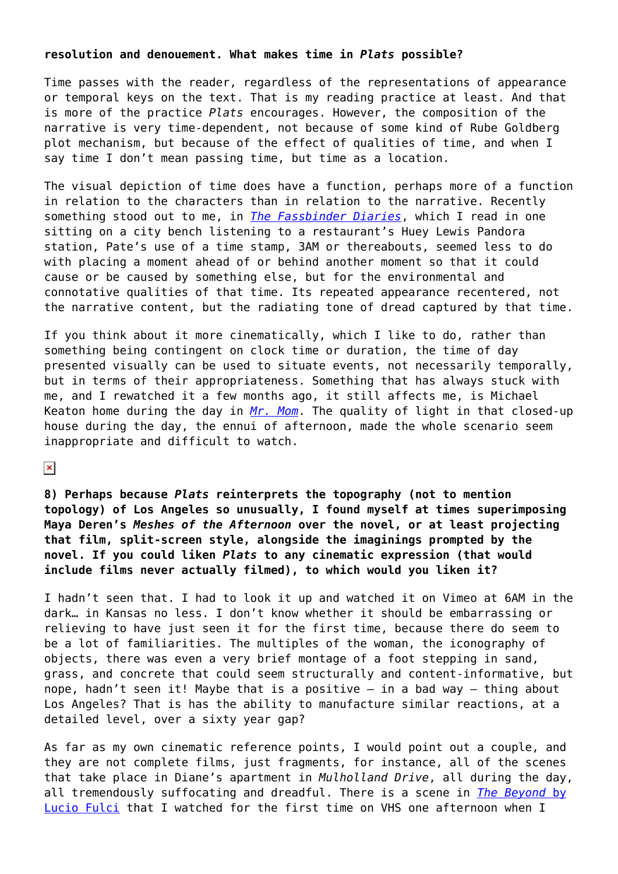## **resolution and denouement. What makes time in** *Plats* **possible?**

Time passes with the reader, regardless of the representations of appearance or temporal keys on the text. That is my reading practice at least. And that is more of the practice *Plats* encourages. However, the composition of the narrative is very time-dependent, not because of some kind of Rube Goldberg plot mechanism, but because of the effect of qualities of time, and when I say time I don't mean passing time, but time as a location.

The visual depiction of time does have a function, perhaps more of a function in relation to the characters than in relation to the narrative. Recently something stood out to me, in *[The Fassbinder Diaries](http://copingmechanisms.net/fassbinderdiaries)*, which I read in one sitting on a city bench listening to a restaurant's Huey Lewis Pandora station, Pate's use of a time stamp, 3AM or thereabouts, seemed less to do with placing a moment ahead of or behind another moment so that it could cause or be caused by something else, but for the environmental and connotative qualities of that time. Its repeated appearance recentered, not the narrative content, but the radiating tone of dread captured by that time.

If you think about it more cinematically, which I like to do, rather than something being contingent on clock time or duration, the time of day presented visually can be used to situate events, not necessarily temporally, but in terms of their appropriateness. Something that has always stuck with me, and I rewatched it a few months ago, it still affects me, is Michael Keaton home during the day in *[Mr. Mom](http://www.imdb.com/title/tt0085970/)*. The quality of light in that closed-up house during the day, the ennui of afternoon, made the whole scenario seem inappropriate and difficult to watch.

### $\pmb{\times}$

**8) Perhaps because** *Plats* **reinterprets the topography (not to mention topology) of Los Angeles so unusually, I found myself at times superimposing Maya Deren's** *Meshes of the Afternoon* **over the novel, or at least projecting that film, split-screen style, alongside the imaginings prompted by the novel. If you could liken** *Plats* **to any cinematic expression (that would include films never actually filmed), to which would you liken it?**

I hadn't seen that. I had to look it up and watched it on Vimeo at 6AM in the dark… in Kansas no less. I don't know whether it should be embarrassing or relieving to have just seen it for the first time, because there do seem to be a lot of familiarities. The multiples of the woman, the iconography of objects, there was even a very brief montage of a foot stepping in sand, grass, and concrete that could seem structurally and content-informative, but nope, hadn't seen it! Maybe that is a positive – in a bad way – thing about Los Angeles? That is has the ability to manufacture similar reactions, at a detailed level, over a sixty year gap?

As far as my own cinematic reference points, I would point out a couple, and they are not complete films, just fragments, for instance, all of the scenes that take place in Diane's apartment in *Mulholland Drive*, all during the day, all tremendously suffocating and dreadful. There is a scene in *[The Beyond](http://www.imdb.com/title/tt0082307/)* [by](http://www.imdb.com/title/tt0082307/) [Lucio Fulci](http://www.imdb.com/title/tt0082307/) that I watched for the first time on VHS one afternoon when I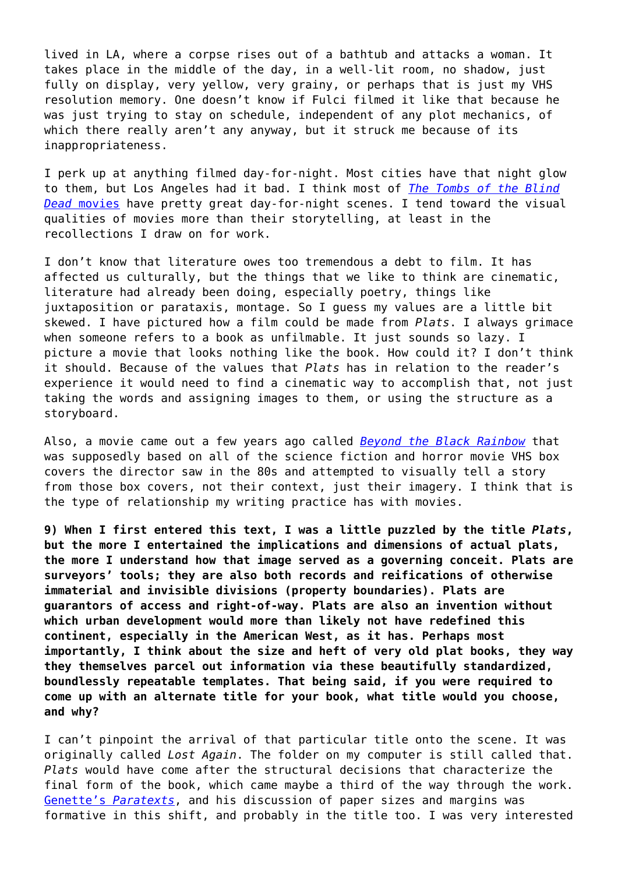lived in LA, where a corpse rises out of a bathtub and attacks a woman. It takes place in the middle of the day, in a well-lit room, no shadow, just fully on display, very yellow, very grainy, or perhaps that is just my VHS resolution memory. One doesn't know if Fulci filmed it like that because he was just trying to stay on schedule, independent of any plot mechanics, of which there really aren't any anyway, but it struck me because of its inappropriateness.

I perk up at anything filmed day-for-night. Most cities have that night glow to them, but Los Angeles had it bad. I think most of *[The Tombs of the Blind](http://en.wikipedia.org/wiki/Tombs_of_the_Blind_Dead#Films_in_the_Blind_Dead_series) [Dead](http://en.wikipedia.org/wiki/Tombs_of_the_Blind_Dead#Films_in_the_Blind_Dead_series)* [movies](http://en.wikipedia.org/wiki/Tombs_of_the_Blind_Dead#Films_in_the_Blind_Dead_series) have pretty great day-for-night scenes. I tend toward the visual qualities of movies more than their storytelling, at least in the recollections I draw on for work.

I don't know that literature owes too tremendous a debt to film. It has affected us culturally, but the things that we like to think are cinematic, literature had already been doing, especially poetry, things like juxtaposition or parataxis, montage. So I guess my values are a little bit skewed. I have pictured how a film could be made from *Plats*. I always grimace when someone refers to a book as unfilmable. It just sounds so lazy. I picture a movie that looks nothing like the book. How could it? I don't think it should. Because of the values that *Plats* has in relation to the reader's experience it would need to find a cinematic way to accomplish that, not just taking the words and assigning images to them, or using the structure as a storyboard.

Also, a movie came out a few years ago called *[Beyond the Black Rainbow](http://www.magnetreleasing.com/beyondtheblackrainbow/)* that was supposedly based on all of the science fiction and horror movie VHS box covers the director saw in the 80s and attempted to visually tell a story from those box covers, not their context, just their imagery. I think that is the type of relationship my writing practice has with movies.

**9) When I first entered this text, I was a little puzzled by the title** *Plats***, but the more I entertained the implications and dimensions of actual plats, the more I understand how that image served as a governing conceit. Plats are surveyors' tools; they are also both records and reifications of otherwise immaterial and invisible divisions (property boundaries). Plats are guarantors of access and right-of-way. Plats are also an invention without which urban development would more than likely not have redefined this continent, especially in the American West, as it has. Perhaps most importantly, I think about the size and heft of very old plat books, they way they themselves parcel out information via these beautifully standardized, boundlessly repeatable templates. That being said, if you were required to come up with an alternate title for your book, what title would you choose, and why?**

I can't pinpoint the arrival of that particular title onto the scene. It was originally called *Lost Again*. The folder on my computer is still called that. *Plats* would have come after the structural decisions that characterize the final form of the book, which came maybe a third of the way through the work. [Genette's](http://www.thefreelibrary.com/Paratexts%3a+Thresholds+of+Interpretation.-a054637201) *[Paratexts](http://www.thefreelibrary.com/Paratexts%3a+Thresholds+of+Interpretation.-a054637201)*, and his discussion of paper sizes and margins was formative in this shift, and probably in the title too. I was very interested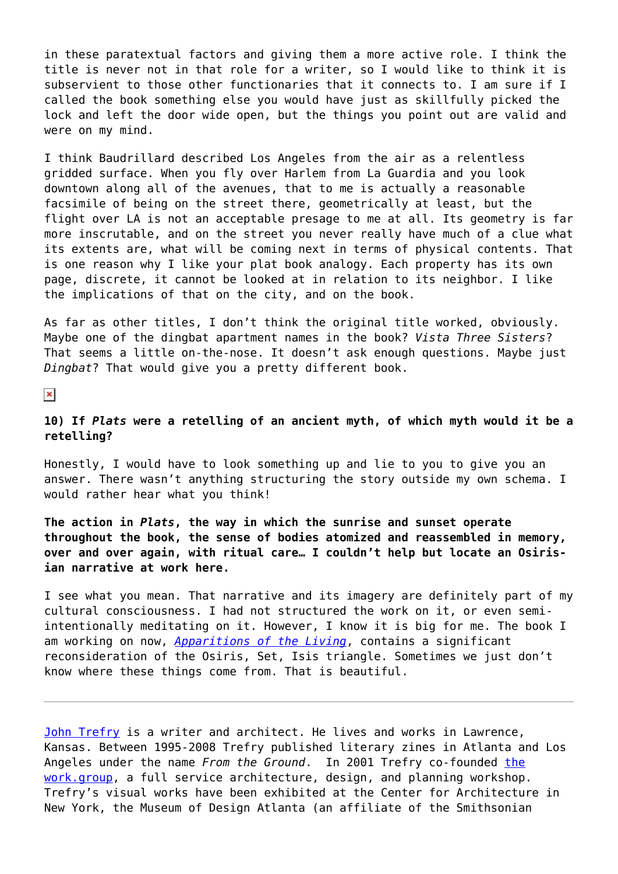in these paratextual factors and giving them a more active role. I think the title is never not in that role for a writer, so I would like to think it is subservient to those other functionaries that it connects to. I am sure if I called the book something else you would have just as skillfully picked the lock and left the door wide open, but the things you point out are valid and were on my mind.

I think Baudrillard described Los Angeles from the air as a relentless gridded surface. When you fly over Harlem from La Guardia and you look downtown along all of the avenues, that to me is actually a reasonable facsimile of being on the street there, geometrically at least, but the flight over LA is not an acceptable presage to me at all. Its geometry is far more inscrutable, and on the street you never really have much of a clue what its extents are, what will be coming next in terms of physical contents. That is one reason why I like your plat book analogy. Each property has its own page, discrete, it cannot be looked at in relation to its neighbor. I like the implications of that on the city, and on the book.

As far as other titles, I don't think the original title worked, obviously. Maybe one of the dingbat apartment names in the book? *Vista Three Sisters*? That seems a little on-the-nose. It doesn't ask enough questions. Maybe just *Dingbat*? That would give you a pretty different book.

 $\pmb{\times}$ 

# **10) If** *Plats* **were a retelling of an ancient myth, of which myth would it be a retelling?**

Honestly, I would have to look something up and lie to you to give you an answer. There wasn't anything structuring the story outside my own schema. I would rather hear what you think!

**The action in** *Plats***, the way in which the sunrise and sunset operate throughout the book, the sense of bodies atomized and reassembled in memory, over and over again, with ritual care… I couldn't help but locate an Osirisian narrative at work here.**

I see what you mean. That narrative and its imagery are definitely part of my cultural consciousness. I had not structured the work on it, or even semiintentionally meditating on it. However, I know it is big for me. The book I am working on now, *[Apparitions of the Living](http://www.jhtrefry.org/?page_id=2412)*, contains a significant reconsideration of the Osiris, Set, Isis triangle. Sometimes we just don't know where these things come from. That is beautiful.

[John Trefry](http://www.jhtrefry.org/) is a writer and architect. He lives and works in Lawrence, Kansas. Between 1995-2008 Trefry published literary zines in Atlanta and Los Angeles under the name *From the Ground*. In 2001 Trefry co-founded [the](http://sisyphean.com/) [work.group,](http://sisyphean.com/) a full service architecture, design, and planning workshop. Trefry's visual works have been exhibited at the Center for Architecture in New York, the Museum of Design Atlanta (an affiliate of the Smithsonian